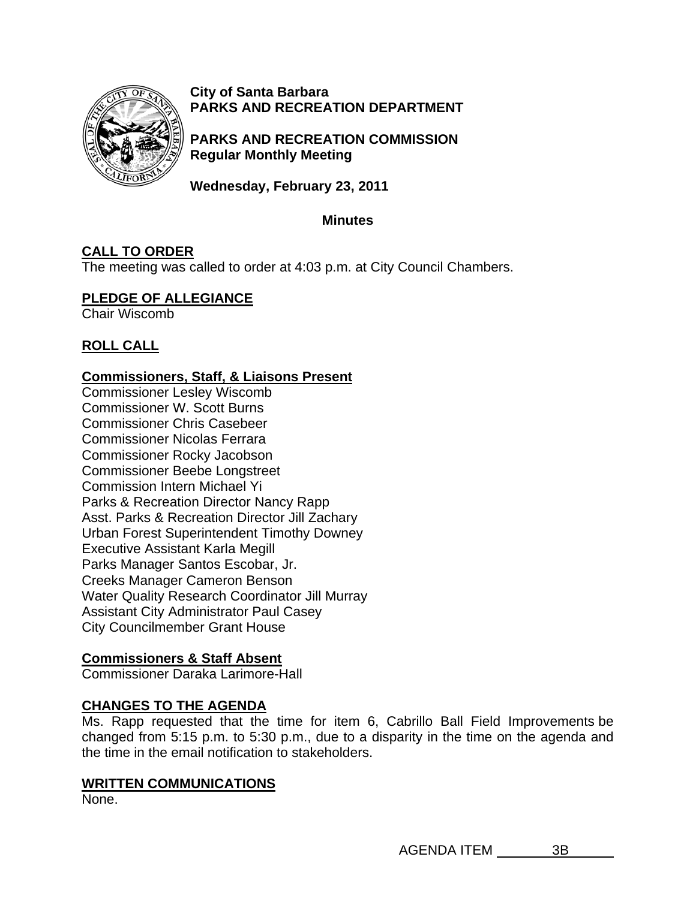

**City of Santa Barbara PARKS AND RECREATION DEPARTMENT**

**PARKS AND RECREATION COMMISSION Regular Monthly Meeting** 

**Wednesday, February 23, 2011** 

### **Minutes**

# **CALL TO ORDER**

The meeting was called to order at 4:03 p.m. at City Council Chambers.

## **PLEDGE OF ALLEGIANCE**

Chair Wiscomb

# **ROLL CALL**

### **Commissioners, Staff, & Liaisons Present**

Commissioner Lesley Wiscomb Commissioner W. Scott Burns Commissioner Chris Casebeer Commissioner Nicolas Ferrara Commissioner Rocky Jacobson Commissioner Beebe Longstreet Commission Intern Michael Yi Parks & Recreation Director Nancy Rapp Asst. Parks & Recreation Director Jill Zachary Urban Forest Superintendent Timothy Downey Executive Assistant Karla Megill Parks Manager Santos Escobar, Jr. Creeks Manager Cameron Benson Water Quality Research Coordinator Jill Murray Assistant City Administrator Paul Casey City Councilmember Grant House

# **Commissioners & Staff Absent**

Commissioner Daraka Larimore-Hall

# **CHANGES TO THE AGENDA**

Ms. Rapp requested that the time for item 6, Cabrillo Ball Field Improvements be changed from 5:15 p.m. to 5:30 p.m., due to a disparity in the time on the agenda and the time in the email notification to stakeholders.

### **WRITTEN COMMUNICATIONS**

None.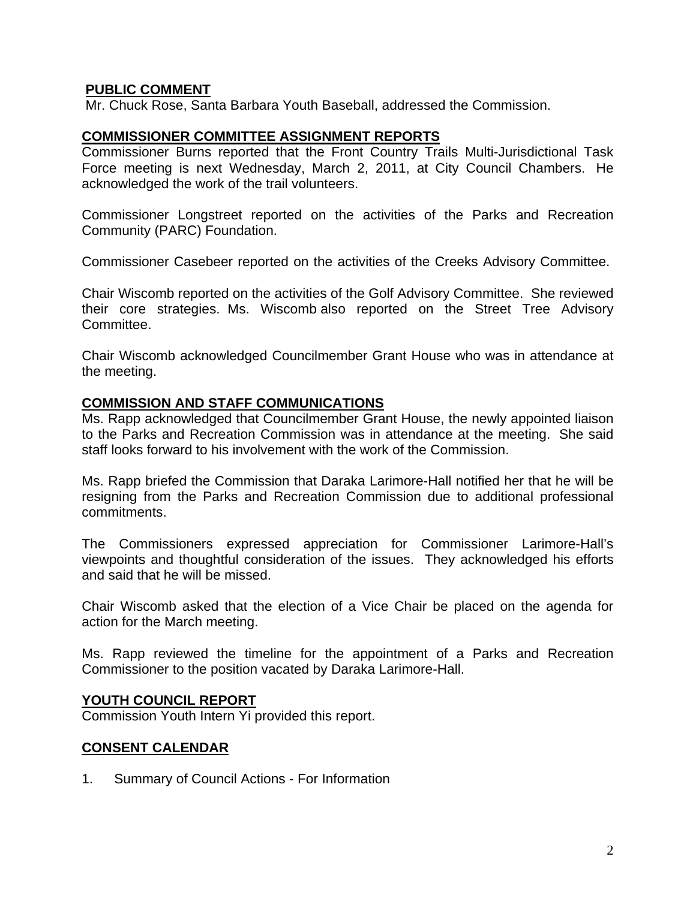### **PUBLIC COMMENT**

Mr. Chuck Rose, Santa Barbara Youth Baseball, addressed the Commission.

#### **COMMISSIONER COMMITTEE ASSIGNMENT REPORTS**

Commissioner Burns reported that the Front Country Trails Multi-Jurisdictional Task Force meeting is next Wednesday, March 2, 2011, at City Council Chambers. He acknowledged the work of the trail volunteers.

Commissioner Longstreet reported on the activities of the Parks and Recreation Community (PARC) Foundation.

Commissioner Casebeer reported on the activities of the Creeks Advisory Committee.

Chair Wiscomb reported on the activities of the Golf Advisory Committee. She reviewed their core strategies. Ms. Wiscomb also reported on the Street Tree Advisory Committee.

Chair Wiscomb acknowledged Councilmember Grant House who was in attendance at the meeting.

#### **COMMISSION AND STAFF COMMUNICATIONS**

Ms. Rapp acknowledged that Councilmember Grant House, the newly appointed liaison to the Parks and Recreation Commission was in attendance at the meeting. She said staff looks forward to his involvement with the work of the Commission.

Ms. Rapp briefed the Commission that Daraka Larimore-Hall notified her that he will be resigning from the Parks and Recreation Commission due to additional professional commitments.

The Commissioners expressed appreciation for Commissioner Larimore-Hall's viewpoints and thoughtful consideration of the issues. They acknowledged his efforts and said that he will be missed.

Chair Wiscomb asked that the election of a Vice Chair be placed on the agenda for action for the March meeting.

Ms. Rapp reviewed the timeline for the appointment of a Parks and Recreation Commissioner to the position vacated by Daraka Larimore-Hall.

### **YOUTH COUNCIL REPORT**

Commission Youth Intern Yi provided this report.

### **CONSENT CALENDAR**

1. Summary of Council Actions - For Information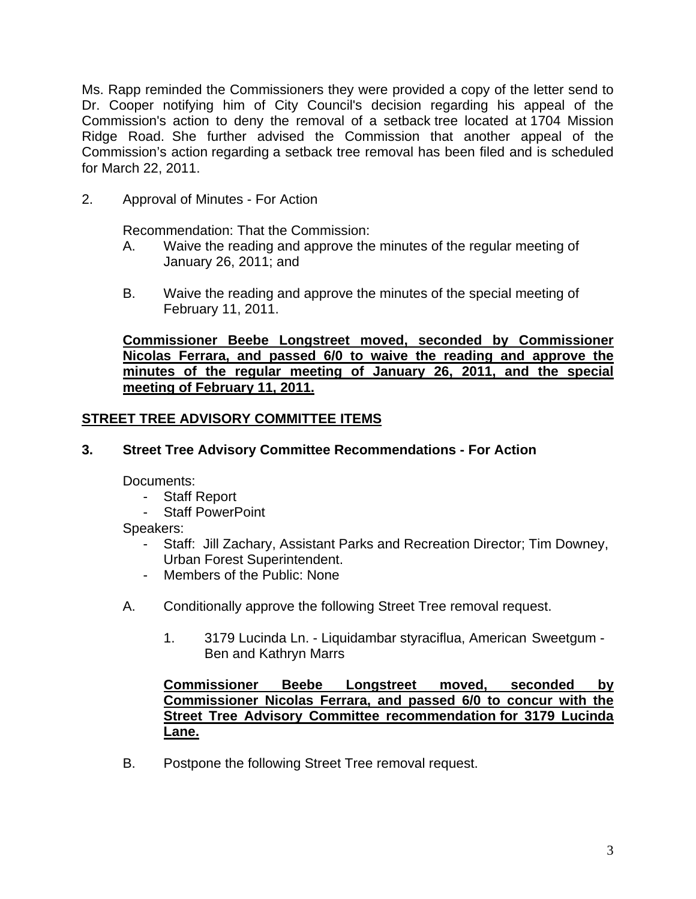Ms. Rapp reminded the Commissioners they were provided a copy of the letter send to Dr. Cooper notifying him of City Council's decision regarding his appeal of the Commission's action to deny the removal of a setback tree located at 1704 Mission Ridge Road. She further advised the Commission that another appeal of the Commission's action regarding a setback tree removal has been filed and is scheduled for March 22, 2011.

2.Approval of Minutes - For Action

Recommendation: That the Commission:

- A. Waive the reading and approve the minutes of the regular meeting of January 26, 2011; and
- B. Waive the reading and approve the minutes of the special meeting of February 11, 2011.

**Commissioner Beebe Longstreet moved, seconded by Commissioner Nicolas Ferrara, and passed 6/0 to waive the reading and approve the minutes of the regular meeting of January 26, 2011, and the special meeting of February 11, 2011.** 

## **STREET TREE ADVISORY COMMITTEE ITEMS**

### **3. Street Tree Advisory Committee Recommendations - For Action**

Documents:

- Staff Report
- Staff PowerPoint

Speakers:

- Staff: Jill Zachary, Assistant Parks and Recreation Director; Tim Downey, Urban Forest Superintendent.
- Members of the Public: None
- A.Conditionally approve the following Street Tree removal request.
	- 1. 3179 Lucinda Ln. Liquidambar styraciflua, American Sweetgum Ben and Kathryn Marrs

### **Commissioner Beebe Longstreet moved, seconded by Commissioner Nicolas Ferrara, and passed 6/0 to concur with the Street Tree Advisory Committee recommendation for 3179 Lucinda Lane.**

B. Postpone the following Street Tree removal request.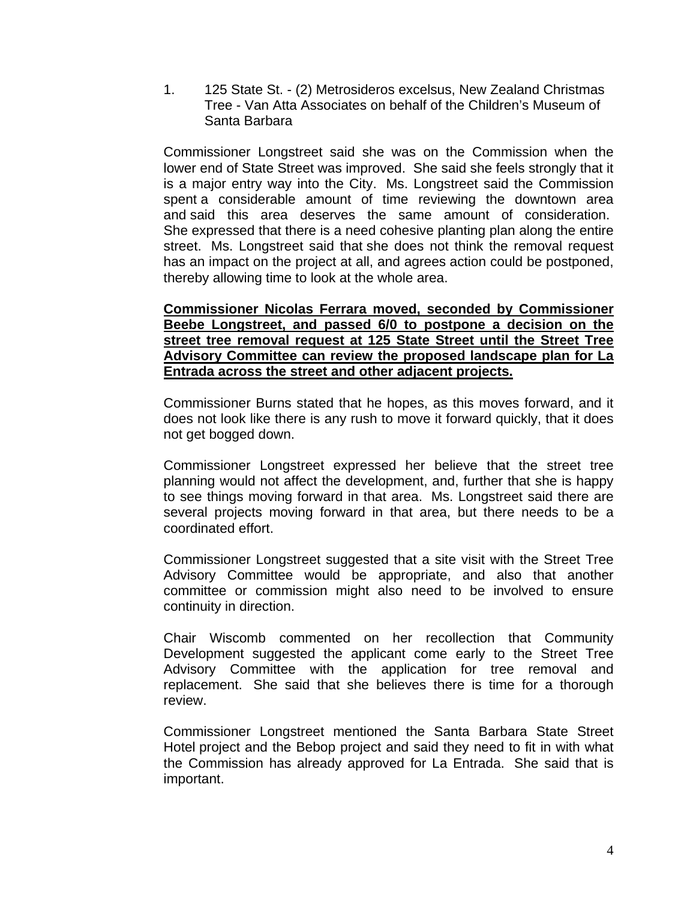1. 125 State St. - (2) Metrosideros excelsus, New Zealand Christmas Tree - Van Atta Associates on behalf of the Children's Museum of Santa Barbara

Commissioner Longstreet said she was on the Commission when the lower end of State Street was improved. She said she feels strongly that it is a major entry way into the City. Ms. Longstreet said the Commission spent a considerable amount of time reviewing the downtown area and said this area deserves the same amount of consideration. She expressed that there is a need cohesive planting plan along the entire street. Ms. Longstreet said that she does not think the removal request has an impact on the project at all, and agrees action could be postponed, thereby allowing time to look at the whole area.

### **Commissioner Nicolas Ferrara moved, seconded by Commissioner Beebe Longstreet, and passed 6/0 to postpone a decision on the street tree removal request at 125 State Street until the Street Tree Advisory Committee can review the proposed landscape plan for La Entrada across the street and other adjacent projects.**

Commissioner Burns stated that he hopes, as this moves forward, and it does not look like there is any rush to move it forward quickly, that it does not get bogged down.

Commissioner Longstreet expressed her believe that the street tree planning would not affect the development, and, further that she is happy to see things moving forward in that area. Ms. Longstreet said there are several projects moving forward in that area, but there needs to be a coordinated effort.

Commissioner Longstreet suggested that a site visit with the Street Tree Advisory Committee would be appropriate, and also that another committee or commission might also need to be involved to ensure continuity in direction.

Chair Wiscomb commented on her recollection that Community Development suggested the applicant come early to the Street Tree Advisory Committee with the application for tree removal and replacement. She said that she believes there is time for a thorough review.

Commissioner Longstreet mentioned the Santa Barbara State Street Hotel project and the Bebop project and said they need to fit in with what the Commission has already approved for La Entrada. She said that is important.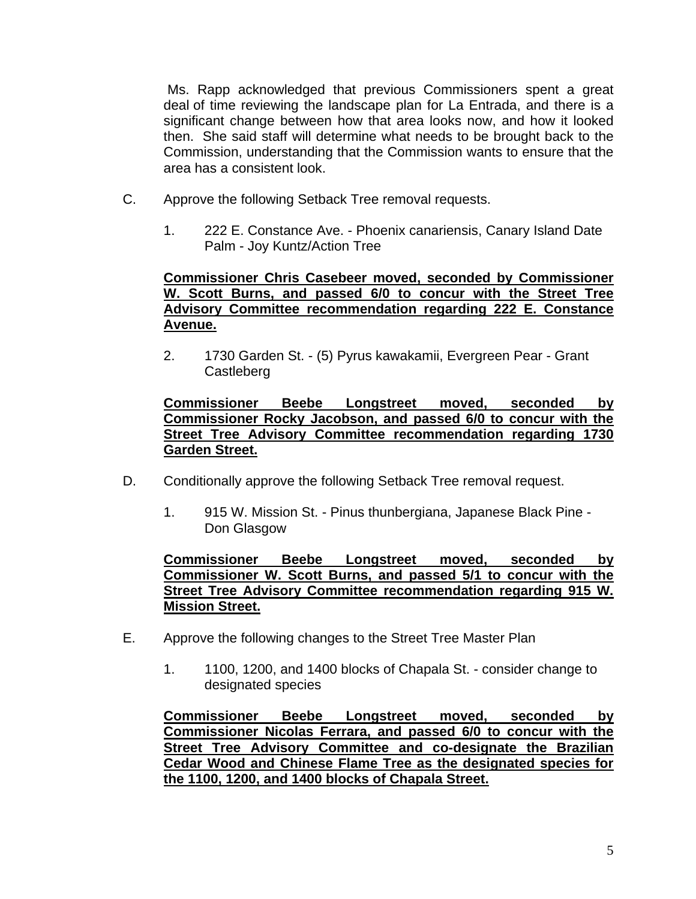Ms. Rapp acknowledged that previous Commissioners spent a great deal of time reviewing the landscape plan for La Entrada, and there is a significant change between how that area looks now, and how it looked then. She said staff will determine what needs to be brought back to the Commission, understanding that the Commission wants to ensure that the area has a consistent look.

- C.Approve the following Setback Tree removal requests.
	- 1. 222 E. Constance Ave. Phoenix canariensis, Canary Island Date Palm - Joy Kuntz/Action Tree

### **Commissioner Chris Casebeer moved, seconded by Commissioner W. Scott Burns, and passed 6/0 to concur with the Street Tree Advisory Committee recommendation regarding 222 E. Constance Avenue.**

2. 1730 Garden St. - (5) Pyrus kawakamii, Evergreen Pear - Grant **Castleberg** 

### **Commissioner Beebe Longstreet moved, seconded by Commissioner Rocky Jacobson, and passed 6/0 to concur with the Street Tree Advisory Committee recommendation regarding 1730 Garden Street.**

- D. Conditionally approve the following Setback Tree removal request.
	- 1. 915 W. Mission St. Pinus thunbergiana, Japanese Black Pine Don Glasgow

#### **Commissioner Beebe Longstreet moved, seconded by Commissioner W. Scott Burns, and passed 5/1 to concur with the Street Tree Advisory Committee recommendation regarding 915 W. Mission Street.**

- E.Approve the following changes to the Street Tree Master Plan
	- 1. 1100, 1200, and 1400 blocks of Chapala St. consider change to designated species

**Commissioner Beebe Longstreet moved, seconded by Commissioner Nicolas Ferrara, and passed 6/0 to concur with the Street Tree Advisory Committee and co-designate the Brazilian Cedar Wood and Chinese Flame Tree as the designated species for the 1100, 1200, and 1400 blocks of Chapala Street.**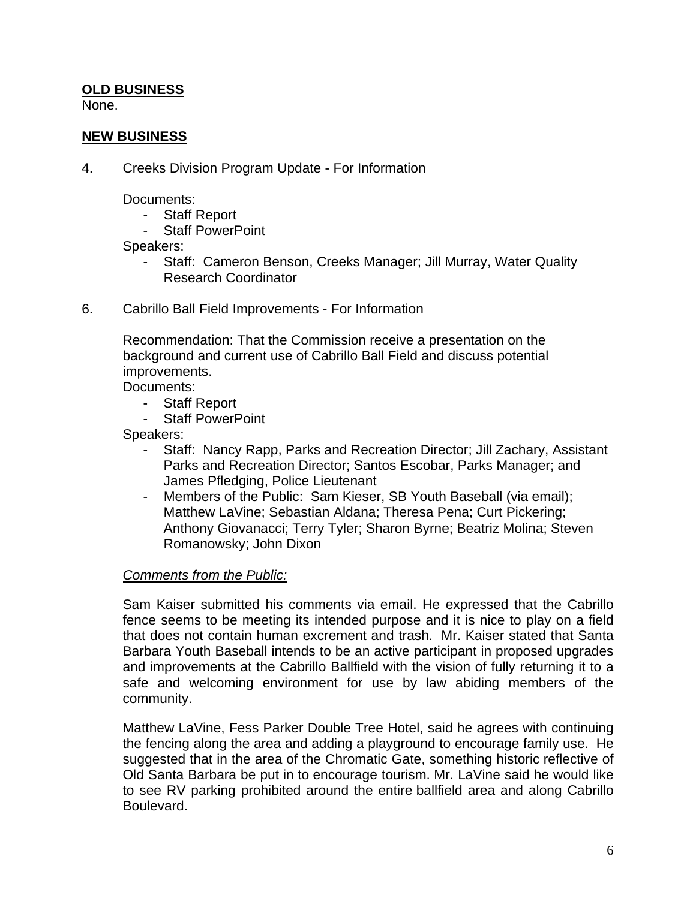## **OLD BUSINESS**

None.

### **NEW BUSINESS**

4. Creeks Division Program Update - For Information

Documents:

- Staff Report
- Staff PowerPoint

Speakers:

- Staff: Cameron Benson, Creeks Manager; Jill Murray, Water Quality Research Coordinator
- 6.Cabrillo Ball Field Improvements For Information

 Recommendation: That the Commission receive a presentation on the background and current use of Cabrillo Ball Field and discuss potential improvements.

Documents:

- Staff Report
- Staff PowerPoint

Speakers:

- Staff: Nancy Rapp, Parks and Recreation Director; Jill Zachary, Assistant Parks and Recreation Director; Santos Escobar, Parks Manager; and James Pfledging, Police Lieutenant
- Members of the Public: Sam Kieser, SB Youth Baseball (via email); Matthew LaVine; Sebastian Aldana; Theresa Pena; Curt Pickering; Anthony Giovanacci; Terry Tyler; Sharon Byrne; Beatriz Molina; Steven Romanowsky; John Dixon

### *Comments from the Public:*

Sam Kaiser submitted his comments via email. He expressed that the Cabrillo fence seems to be meeting its intended purpose and it is nice to play on a field that does not contain human excrement and trash. Mr. Kaiser stated that Santa Barbara Youth Baseball intends to be an active participant in proposed upgrades and improvements at the Cabrillo Ballfield with the vision of fully returning it to a safe and welcoming environment for use by law abiding members of the community.

Matthew LaVine, Fess Parker Double Tree Hotel, said he agrees with continuing the fencing along the area and adding a playground to encourage family use. He suggested that in the area of the Chromatic Gate, something historic reflective of Old Santa Barbara be put in to encourage tourism. Mr. LaVine said he would like to see RV parking prohibited around the entire ballfield area and along Cabrillo Boulevard.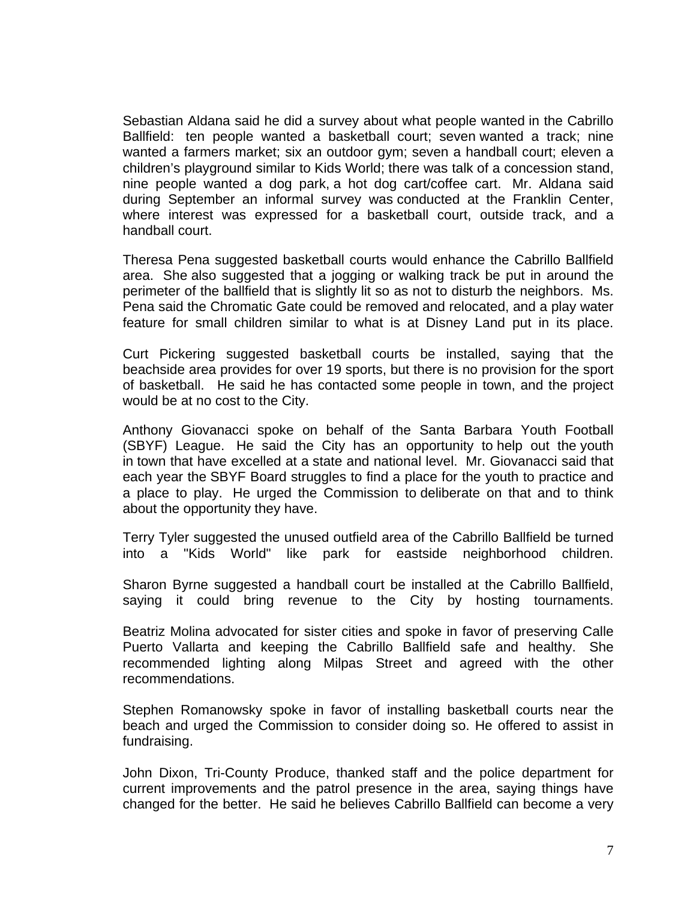Sebastian Aldana said he did a survey about what people wanted in the Cabrillo Ballfield: ten people wanted a basketball court; seven wanted a track; nine wanted a farmers market; six an outdoor gym; seven a handball court; eleven a children's playground similar to Kids World; there was talk of a concession stand, nine people wanted a dog park, a hot dog cart/coffee cart. Mr. Aldana said during September an informal survey was conducted at the Franklin Center, where interest was expressed for a basketball court, outside track, and a handball court.

Theresa Pena suggested basketball courts would enhance the Cabrillo Ballfield area. She also suggested that a jogging or walking track be put in around the perimeter of the ballfield that is slightly lit so as not to disturb the neighbors. Ms. Pena said the Chromatic Gate could be removed and relocated, and a play water feature for small children similar to what is at Disney Land put in its place.

Curt Pickering suggested basketball courts be installed, saying that the beachside area provides for over 19 sports, but there is no provision for the sport of basketball. He said he has contacted some people in town, and the project would be at no cost to the City.

Anthony Giovanacci spoke on behalf of the Santa Barbara Youth Football (SBYF) League. He said the City has an opportunity to help out the youth in town that have excelled at a state and national level. Mr. Giovanacci said that each year the SBYF Board struggles to find a place for the youth to practice and a place to play. He urged the Commission to deliberate on that and to think about the opportunity they have.

Terry Tyler suggested the unused outfield area of the Cabrillo Ballfield be turned into a "Kids World" like park for eastside neighborhood children.

Sharon Byrne suggested a handball court be installed at the Cabrillo Ballfield, saying it could bring revenue to the City by hosting tournaments.

Beatriz Molina advocated for sister cities and spoke in favor of preserving Calle Puerto Vallarta and keeping the Cabrillo Ballfield safe and healthy. She recommended lighting along Milpas Street and agreed with the other recommendations.

Stephen Romanowsky spoke in favor of installing basketball courts near the beach and urged the Commission to consider doing so. He offered to assist in fundraising.

John Dixon, Tri-County Produce, thanked staff and the police department for current improvements and the patrol presence in the area, saying things have changed for the better. He said he believes Cabrillo Ballfield can become a very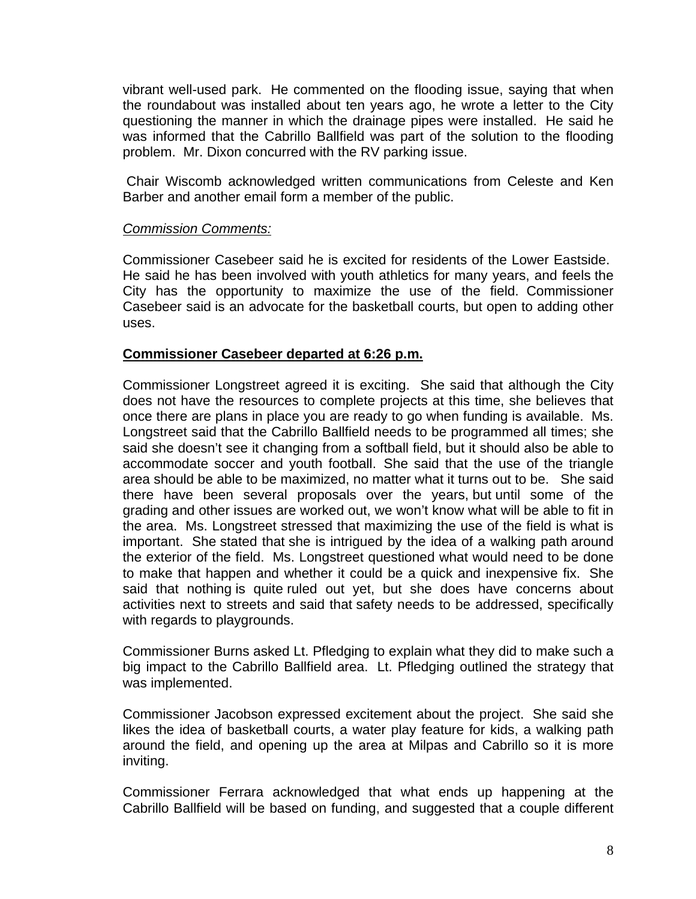vibrant well-used park. He commented on the flooding issue, saying that when the roundabout was installed about ten years ago, he wrote a letter to the City questioning the manner in which the drainage pipes were installed. He said he was informed that the Cabrillo Ballfield was part of the solution to the flooding problem. Mr. Dixon concurred with the RV parking issue.

 Chair Wiscomb acknowledged written communications from Celeste and Ken Barber and another email form a member of the public.

#### *Commission Comments:*

Commissioner Casebeer said he is excited for residents of the Lower Eastside. He said he has been involved with youth athletics for many years, and feels the City has the opportunity to maximize the use of the field. Commissioner Casebeer said is an advocate for the basketball courts, but open to adding other uses.

#### **Commissioner Casebeer departed at 6:26 p.m.**

Commissioner Longstreet agreed it is exciting. She said that although the City does not have the resources to complete projects at this time, she believes that once there are plans in place you are ready to go when funding is available. Ms. Longstreet said that the Cabrillo Ballfield needs to be programmed all times; she said she doesn't see it changing from a softball field, but it should also be able to accommodate soccer and youth football. She said that the use of the triangle area should be able to be maximized, no matter what it turns out to be. She said there have been several proposals over the years, but until some of the grading and other issues are worked out, we won't know what will be able to fit in the area. Ms. Longstreet stressed that maximizing the use of the field is what is important. She stated that she is intrigued by the idea of a walking path around the exterior of the field. Ms. Longstreet questioned what would need to be done to make that happen and whether it could be a quick and inexpensive fix. She said that nothing is quite ruled out yet, but she does have concerns about activities next to streets and said that safety needs to be addressed, specifically with regards to playgrounds.

Commissioner Burns asked Lt. Pfledging to explain what they did to make such a big impact to the Cabrillo Ballfield area. Lt. Pfledging outlined the strategy that was implemented.

Commissioner Jacobson expressed excitement about the project. She said she likes the idea of basketball courts, a water play feature for kids, a walking path around the field, and opening up the area at Milpas and Cabrillo so it is more inviting.

Commissioner Ferrara acknowledged that what ends up happening at the Cabrillo Ballfield will be based on funding, and suggested that a couple different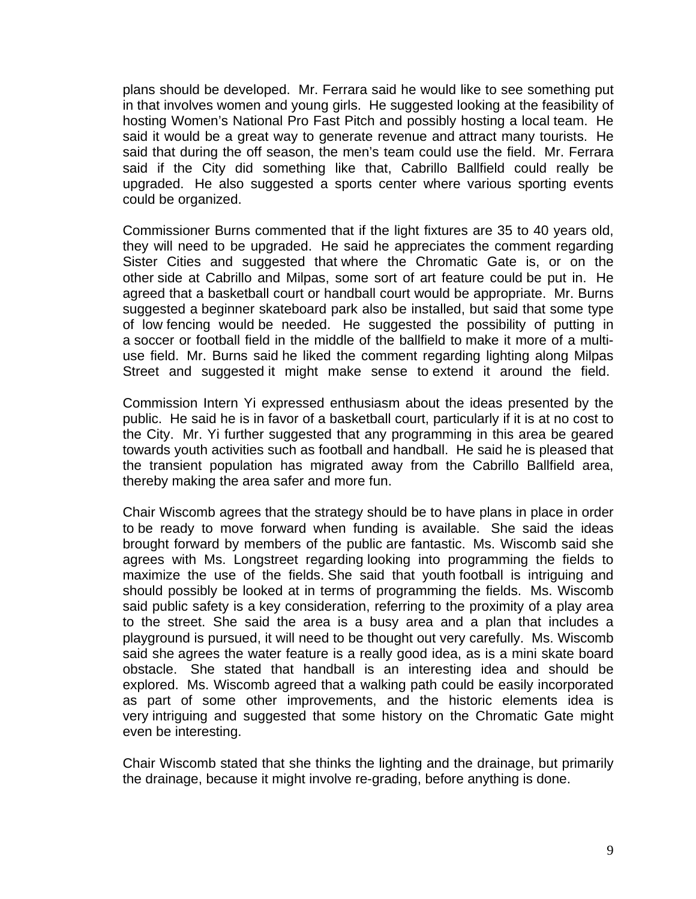plans should be developed. Mr. Ferrara said he would like to see something put in that involves women and young girls. He suggested looking at the feasibility of hosting Women's National Pro Fast Pitch and possibly hosting a local team. He said it would be a great way to generate revenue and attract many tourists. He said that during the off season, the men's team could use the field. Mr. Ferrara said if the City did something like that, Cabrillo Ballfield could really be upgraded. He also suggested a sports center where various sporting events could be organized.

Commissioner Burns commented that if the light fixtures are 35 to 40 years old, they will need to be upgraded. He said he appreciates the comment regarding Sister Cities and suggested that where the Chromatic Gate is, or on the other side at Cabrillo and Milpas, some sort of art feature could be put in. He agreed that a basketball court or handball court would be appropriate. Mr. Burns suggested a beginner skateboard park also be installed, but said that some type of low fencing would be needed. He suggested the possibility of putting in a soccer or football field in the middle of the ballfield to make it more of a multiuse field. Mr. Burns said he liked the comment regarding lighting along Milpas Street and suggested it might make sense to extend it around the field.

Commission Intern Yi expressed enthusiasm about the ideas presented by the public. He said he is in favor of a basketball court, particularly if it is at no cost to the City. Mr. Yi further suggested that any programming in this area be geared towards youth activities such as football and handball. He said he is pleased that the transient population has migrated away from the Cabrillo Ballfield area, thereby making the area safer and more fun.

Chair Wiscomb agrees that the strategy should be to have plans in place in order to be ready to move forward when funding is available. She said the ideas brought forward by members of the public are fantastic. Ms. Wiscomb said she agrees with Ms. Longstreet regarding looking into programming the fields to maximize the use of the fields. She said that youth football is intriguing and should possibly be looked at in terms of programming the fields. Ms. Wiscomb said public safety is a key consideration, referring to the proximity of a play area to the street. She said the area is a busy area and a plan that includes a playground is pursued, it will need to be thought out very carefully. Ms. Wiscomb said she agrees the water feature is a really good idea, as is a mini skate board obstacle. She stated that handball is an interesting idea and should be explored. Ms. Wiscomb agreed that a walking path could be easily incorporated as part of some other improvements, and the historic elements idea is very intriguing and suggested that some history on the Chromatic Gate might even be interesting.

Chair Wiscomb stated that she thinks the lighting and the drainage, but primarily the drainage, because it might involve re-grading, before anything is done.